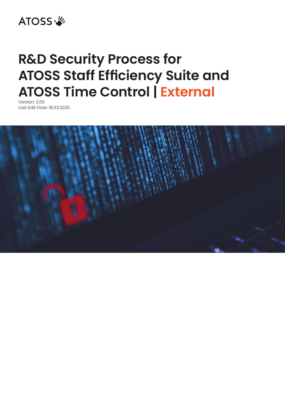

# **R&D Security Process for ATOSS Staff Efficiency Suite and ATOSS Time Control | External**

Version: 2.00 Last Edit Date: 18.03.2020

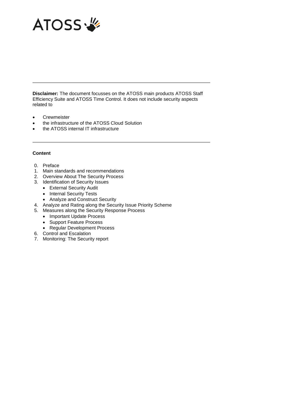

**Disclaimer:** The document focusses on the ATOSS main products ATOSS Staff Efficiency Suite and ATOSS Time Control. It does not include security aspects related to

- **Crewmeister**
- the infrastructure of the ATOSS Cloud Solution
- the ATOSS internal IT infrastructure

#### **Content**

- 0. Preface
- 1. Main standards and recommendations
- 2. Overview About The Security Process
- 3. Identification of Security Issues
	- External Security Audit
	- Internal Security Tests
	- Analyze and Construct Security
- 4. Analyze and Rating along the Security Issue Priority Scheme
- 5. Measures along the Security Response Process
	- Important Update Process
	- Support Feature Process
	- Regular Development Process
- 6. Control and Escalation
- 7. Monitoring: The Security report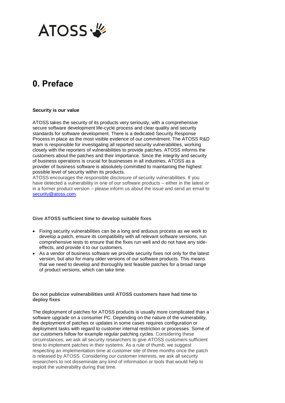

### **0. Preface**

#### **Security is our value**

ATOSS takes the security of its products very seriously, with a comprehensive secure software development life-cycle process and clear quality and security standards for software development. There is a dedicated Security Response Process in place as the most visible evidence of our commitment. The ATOSS R&D team is responsible for investigating all reported security vulnerabilities, working closely with the reporters of vulnerabilities to provide patches. ATOSS informs the customers about the patches and their importance. Since the integrity and security of business operations is crucial for businesses in all industries, ATOSS as a provider of business software is absolutely committed to maintaining the highest possible level of security within its products.

ATOSS encourages the responsible disclosure of security vulnerabilities. If you have detected a vulnerability in one of our software products – either in the latest or in a former product version – please inform us about the issue and send an email to [security@atoss.com.](mailto:security@atoss.com)

#### **Give ATOSS sufficient time to develop suitable fixes**

- Fixing security vulnerabilities can be a long and arduous process as we work to develop a patch, ensure its compatibility with all relevant software versions, run comprehensive tests to ensure that the fixes run well and do not have any sideeffects, and provide it to our customers.
- As a vendor of business software we provide security fixes not only for the latest version, but also for many older versions of our software products. This means that we need to develop and thoroughly test feasible patches for a broad range of product versions, which can take time.

#### **Do not publicize vulnerabilities until ATOSS customers have had time to deploy fixes**

The deployment of patches for ATOSS products is usually more complicated than a software upgrade on a consumer PC. Depending on the nature of the vulnerability, the deployment of patches or updates in some cases requires configuration or deployment tasks with regard to customer internal restriction or processes. Some of our customers follow for example regular patching cycles. Considering these circumstances, we ask all security researchers to give ATOSS customers sufficient time to implement patches in their systems. As a rule of thumb, we suggest respecting an implementation time at customer site of three months once the patch is released by ATOSS. Considering our customer interests, we ask all security researchers to not disseminate any kind of information or tools that would help to exploit the vulnerability during that time.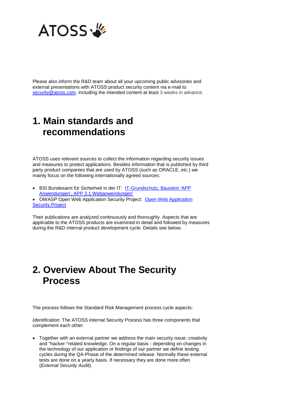

Please also inform the R&D team about all your upcoming public advisories and external presentations with ATOSS product security content via e-mail to [security@atoss.com.](mailto:security@atoss.com) including the intended content at least 3 weeks in advance.

### **1. Main standards and recommendations**

ATOSS uses relevant sources to collect the information regarding security issues and measures to protect applications. Besides information that is published by third party product companies that are used by ATOSS (such as ORACLE, etc.) we mainly focus on the following internationally agreed sources:

- BSI Bundesamt für Sicherheit in der IT: [IT-Grundschutz, Baustein 'APP](https://www.bsi.bund.de/DE/Themen/ITGrundschutz/ITGrundschutzKompendium/bausteine/APP/APP_3_1_Webanwendungen.html)  [Anwendungen', APP 3.1 Webanwendungen'](https://www.bsi.bund.de/DE/Themen/ITGrundschutz/ITGrundschutzKompendium/bausteine/APP/APP_3_1_Webanwendungen.html)
- OWASP [Open Web Application](https://www.owasp.org/) Security Project: Open Web Application **[Security Project](https://www.owasp.org/)**

Their publications are analyzed continuously and thoroughly. Aspects that are applicable to the ATOSS products are examined in detail and followed by measures during the R&D internal product development cycle. Details see below.

### **2. Overview About The Security Process**

The process follows the Standard Risk Management process cycle aspects:

*Identification:* The ATOSS internal Security Process has three components that complement each other:

 Together with an external partner we address the main security issue: creativity and "hacker-"related knowledge. On a regular basis - depending on changes in the technology of our application or findings of our partner we define testing cycles during the QA-Phase of the determined release. Normally these external tests are done on a yearly basis. If necessary they are done more often (*External Security Audit*).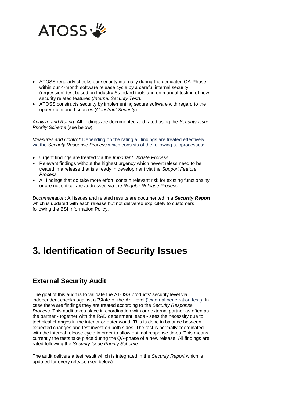

- ATOSS regularly checks our security internally during the dedicated QA-Phase within our 4-month software release cycle by a careful internal security (regression) test based on Industry Standard tools and on manual testing of new security related features (*Internal Security Test*).
- ATOSS constructs security by implementing secure software with regard to the upper mentioned sources (*Construct Security*).

*Analyze and Rating:* All findings are documented and rated using the *Security Issue Priority Scheme* (see below)*.*

*Measures and Control:* Depending on the rating all findings are treated effectively via the *Security Response Process* which consists of the following subprocesses:

- Urgent findings are treated via the *Important Update Process*.
- Relevant findings without the highest urgency which nevertheless need to be treated in a release that is already in development via the *Support Feature Process.*
- All findings that do take more effort, contain relevant risk for existing functionality or are not critical are addressed via the *Regular Release Process.*

*Documentation*: All issues and related results are documented in a *Security Report* which is updated with each release but not delivered explicitely to customers following the BSI Information Policy.

## **3. Identification of Security Issues**

### **External Security Audit**

The goal of this audit is to validate the ATOSS products' security level via independent checks against a "State-of-the-Art" level ('external penetration test'). In case there are findings they are treated according to the *Security Response Process*. This audit takes place in coordination with our external partner as often as the partner - together with the R&D department leads - sees the necessity due to technical changes in the interior or outer world. This is done in balance between expected changes and test invest on both sides. The test is normally coordinated with the internal release cycle in order to allow optimal response times. This means currently the tests take place during the QA-phase of a new release. All findings are rated following the *Security Issue Priority Scheme*.

The audit delivers a test result which is integrated in the *Security Report* which is updated for every release (see below).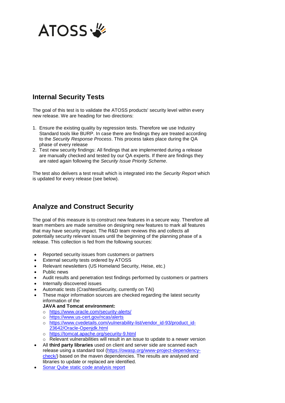

### **Internal Security Tests**

The goal of this test is to validate the ATOSS products' security level within every new release. We are heading for two directions:

- 1. Ensure the existing quality by regression tests. Therefore we use Industry Standard tools like BURP. In case there are findings they are treated according to the *Security Response Process*. This process takes place during the QA phase of every release
- 2. Test new security findings: All findings that are implemented during a release are manually checked and tested by our QA experts. If there are findings they are rated again following the *Security Issue Priority Scheme*.

The test also delivers a test result which is integrated into the *Security Report* which is updated for every release (see below).

### **Analyze and Construct Security**

The goal of this measure is to construct new features in a secure way. Therefore all team members are made sensitive on designing new features to mark all features that may have security impact. The R&D team reviews this and collects all potentially security relevant issues until the beginning of the planning phase of a release. This collection is fed from the following sources:

- Reported security issues from customers or partners
- External security tests ordered by ATOSS
- Relevant newsletters (US Homeland Security, Heise, etc.)
- Public news
- Audit results and penetration test findings performed by customers or partners
- Internally discovered issues
- Automatic tests (CrashtestSecurity, currently on TAI)
- These major information sources are checked regarding the latest security information of the

#### **JAVA and Tomcat environment:**

- o <https://www.oracle.com/security-alerts/>
- o <https://www.us-cert.gov/ncas/alerts>
- o [https://www.cvedetails.com/vulnerability-list/vendor\\_id-93/product\\_id-](https://www.cvedetails.com/vulnerability-list/vendor_id-93/product_id-23642/Oracle-Openjdk.html)[23642/Oracle-Openjdk.html](https://www.cvedetails.com/vulnerability-list/vendor_id-93/product_id-23642/Oracle-Openjdk.html)
- o <https://tomcat.apache.org/security-9.html>
- o Relevant vulnerabilities will result in an issue to update to a newer version
- All **third party libraries** used on client and server side are scanned each release using a standard tool [\(https://owasp.org/www-project-dependency](https://owasp.org/www-project-dependency-check/)[check/\)](https://owasp.org/www-project-dependency-check/) based on the maven dependencies. The results are analysed and libraries to update or replaced are identified.
- Sonar Qube [static code analysis report](http://vm-aragorn:9000/dashboard?id=com.atoss.timecontrol.rap)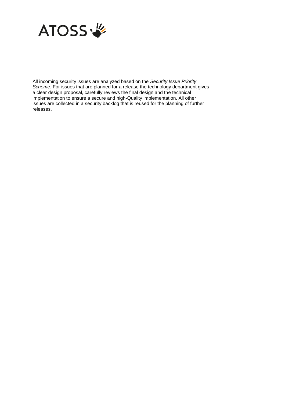

All incoming security issues are analyzed based on the *Security Issue Priority Scheme.* For issues that are planned for a release the technology department gives a clear design proposal, carefully reviews the final design and the technical implementation to ensure a secure and high-Quality implementation. All other issues are collected in a security backlog that is reused for the planning of further releases.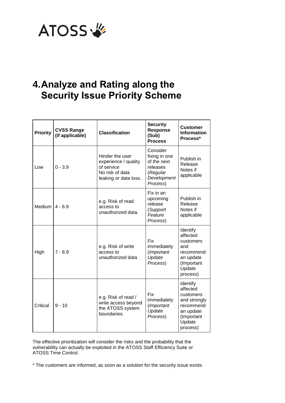

## **4.Analyze and Rating along the Security Issue Priority Scheme**

| <b>Priority</b> | <b>CVSS Range</b><br>(if applicable) | <b>Classification</b>                                                                             | <b>Security</b><br><b>Response</b><br>(Sub)<br><b>Process</b>                               | <b>Customer</b><br><b>Information</b><br>Process*                                                               |
|-----------------|--------------------------------------|---------------------------------------------------------------------------------------------------|---------------------------------------------------------------------------------------------|-----------------------------------------------------------------------------------------------------------------|
| Low             | $0 - 3.9$                            | Hinder the user<br>experience / quality<br>of service<br>No risk of data<br>leaking or data loss. | Consider<br>fixing in one<br>of the next<br>releases<br>(Regular<br>Development<br>Process) | Publish in<br>Release<br>Notes if<br>applicable                                                                 |
| Medium          | $4 - 6.9$                            | e.g. Risk of read<br>access to<br>unauthorized data.                                              | Fix in an<br>upcoming<br>release<br>(Support<br>Feature<br>Process)                         | Publish in<br>Release<br>Notes if<br>applicable                                                                 |
| High            | $7 - 8.9$                            | e.g. Risk of write<br>access to<br>unauthorized data                                              | <b>Fix</b><br>immediately<br>(Important<br>Update<br>Process)                               | Identify<br>affected<br>customers<br>and<br>recommend<br>an update<br>(Important<br>Update<br>process)          |
| Critical        | $9 - 10$                             | e.g. Risk of read /<br>write access beyond<br>the ATOSS system<br>boundaries.                     | Fix<br>immediately<br>(Important<br>Update<br>Process)                                      | Identify<br>affected<br>customers<br>and strongly<br>recommend<br>an update<br>(Important<br>Update<br>process) |

The effective prioritization will consider the risks and the probability that the vulnerability can actually be exploited in the ATOSS Staff Efficiency Suite or ATOSS Time Control.

\* The customers are informed, as soon as a solution for the security issue exists.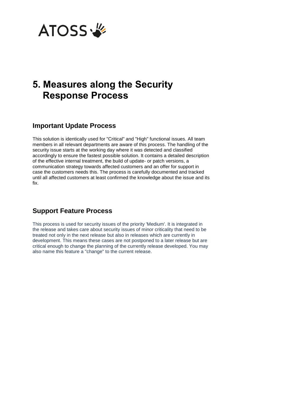

## **5. Measures along the Security Response Process**

#### **Important Update Process**

This solution is identically used for "Critical" and "High" functional issues. All team members in all relevant departments are aware of this process. The handling of the security issue starts at the working day where it was detected and classified accordingly to ensure the fastest possible solution. It contains a detailed description of the effective internal treatment, the build of update- or patch versions, a communication strategy towards affected customers and an offer for support in case the customers needs this. The process is carefully documented and tracked until all affected customers at least confirmed the knowledge about the issue and its fix.

### **Support Feature Process**

This process is used for security issues of the priority 'Medium'. It is integrated in the release and takes care about security issues of minor criticality that need to be treated not only in the next release but also in releases which are currently in development. This means these cases are not postponed to a later release but are critical enough to change the planning of the currently release developed. You may also name this feature a "change" to the current release.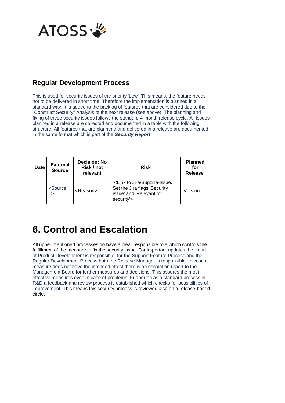

### **Regular Development Process**

This is used for security issues of the priority 'Low'. This means, the feature needs not to be delivered in short time. Therefore the implementation is planned in a standard way. It is added to the backlog of features that are considered due to the "Construct Security" Analysis of the next release (see above). The planning and fixing of these security issues follows the standard 4-month release cycle. All issues planned in a release are collected and documented in a table with the following structure. All features that are plannend and delivered in a release are documented in the same format which is part of the *Security Report*.

| <b>Date</b> | <b>External</b><br><b>Source</b>          | <b>Decision: No</b><br>Risk / not<br>relevant | <b>Risk</b>                                                                                                        | <b>Planned</b><br>for<br><b>Release</b> |
|-------------|-------------------------------------------|-----------------------------------------------|--------------------------------------------------------------------------------------------------------------------|-----------------------------------------|
|             | <source<br><math>1\geq</math></source<br> | <reason></reason>                             | <link bugzilla-issue.<br="" jira="" to=""/> Set the Jira flags 'Security<br>issue' and 'Relevant for<br>security'> | Version                                 |

## **6. Control and Escalation**

All upper mentioned processes do have a clear responsible role which controls the fulfillment of the measure to fix the security issue. For important updates the Head of Product Development is responsible, for the Support Feature Process and the Regular Development Process both the Release Manager is responsible. In case a measure does not have the intended effect there is an escalation report to the Management Board for further measures and decisions. This assures the most effective measures even in case of problems. Further on as a standard process in R&D a feedback and review process is established which checks for possibilities of improvement. This means this security process is reviewed also on a release-based circle.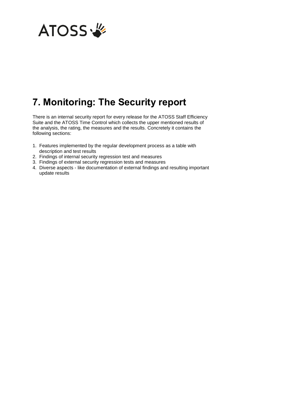

## **7. Monitoring: The Security report**

There is an internal security report for every release for the ATOSS Staff Efficiency Suite and the ATOSS Time Control which collects the upper mentioned results of the analysis, the rating, the measures and the results. Concretely it contains the following sections:

- 1. Features implemented by the regular development process as a table with description and test results
- 2. Findings of internal security regression test and measures
- 3. Findings of external security regression tests and measures
- 4. Diverse aspects like documentation of external findings and resulting important update results